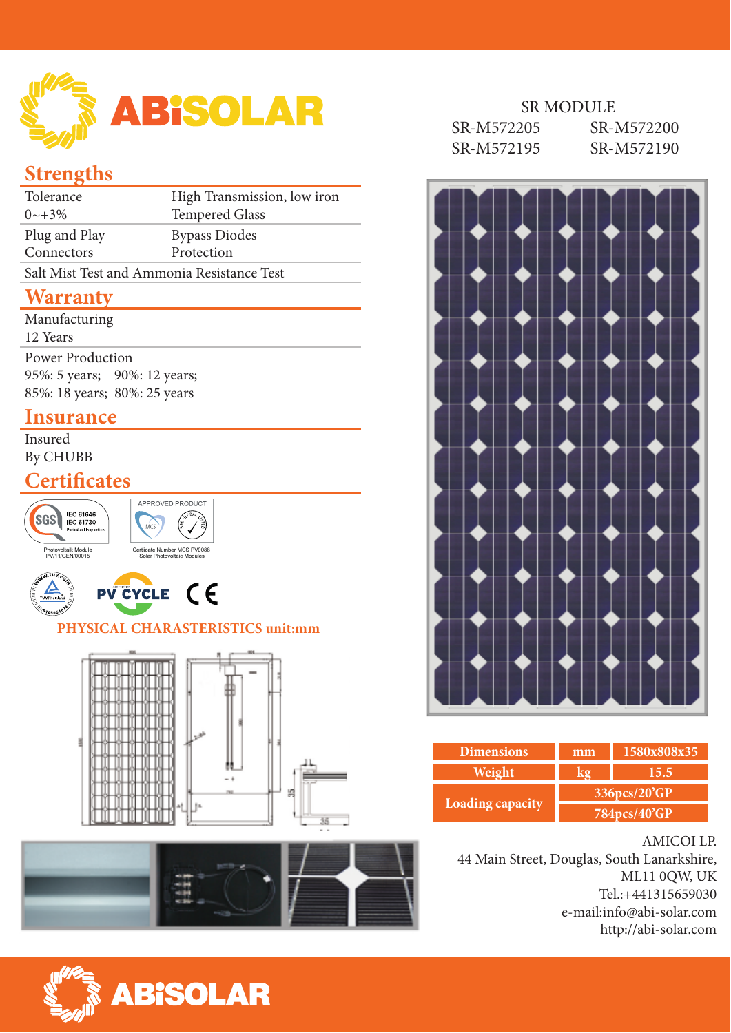

# **Strengths**

| Tolerance                                  | High Transmission, low iron |  |  |
|--------------------------------------------|-----------------------------|--|--|
| $0 \sim +3\%$                              | <b>Tempered Glass</b>       |  |  |
| Plug and Play                              | <b>Bypass Diodes</b>        |  |  |
| Connectors                                 | Protection                  |  |  |
| Salt Mist Test and Ammonia Resistance Test |                             |  |  |

## **Warranty**

| Manufacturing                |  |
|------------------------------|--|
| 12 Years                     |  |
| <b>Power Production</b>      |  |
| 95%: 5 years; 90%: 12 years; |  |
| 85%: 18 years; 80%: 25 years |  |
|                              |  |

### **Insurance**

Insured By CHUBB

## **Certificates**



#### SR MODULE

| SR-M572205 | SR-M572200 |
|------------|------------|
| SR-M572195 | SR-M572190 |



| <b>Dimensions</b>       | mm           | 1580x808x35 |  |  |
|-------------------------|--------------|-------------|--|--|
| Weight                  |              | 15.5        |  |  |
|                         | 336pcs/20'GP |             |  |  |
| <b>Loading capacity</b> | 784pcs/40'GP |             |  |  |

#### AMICOI LP.

44 Main Street, Douglas, South Lanarkshire, ML11 0QW, UK Tel.:+441315659030 e-mail:info@abi-solar.com http://abi-solar.com